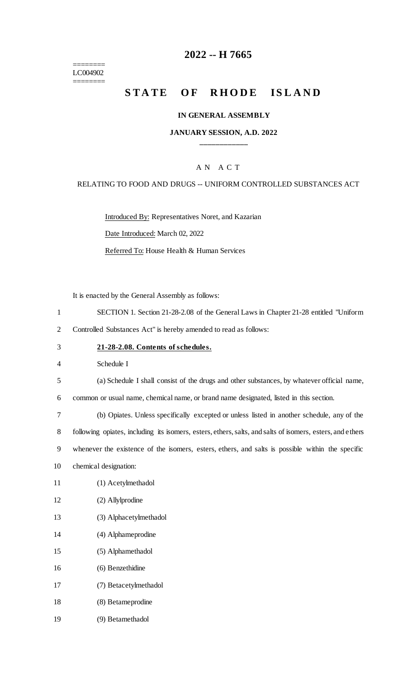======== LC004902 ========

# **-- H 7665**

# **STATE OF RHODE ISLAND**

#### **IN GENERAL ASSEMBLY**

#### **JANUARY SESSION, A.D. 2022 \_\_\_\_\_\_\_\_\_\_\_\_**

#### A N A C T

#### RELATING TO FOOD AND DRUGS -- UNIFORM CONTROLLED SUBSTANCES ACT

Introduced By: Representatives Noret, and Kazarian

Date Introduced: March 02, 2022

Referred To: House Health & Human Services

It is enacted by the General Assembly as follows:

- SECTION 1. Section 21-28-2.08 of the General Laws in Chapter 21-28 entitled "Uniform
- Controlled Substances Act" is hereby amended to read as follows:
- **21-28-2.08. Contents of schedules.**

Schedule I

(a) Schedule I shall consist of the drugs and other substances, by whatever official name,

common or usual name, chemical name, or brand name designated, listed in this section.

 (b) Opiates. Unless specifically excepted or unless listed in another schedule, any of the following opiates, including its isomers, esters, ethers, salts, and salts of isomers, esters, and ethers whenever the existence of the isomers, esters, ethers, and salts is possible within the specific

- chemical designation:
- (1) Acetylmethadol
- (2) Allylprodine
- (3) Alphacetylmethadol
- (4) Alphameprodine
- (5) Alphamethadol
- (6) Benzethidine
- (7) Betacetylmethadol
- (8) Betameprodine
- (9) Betamethadol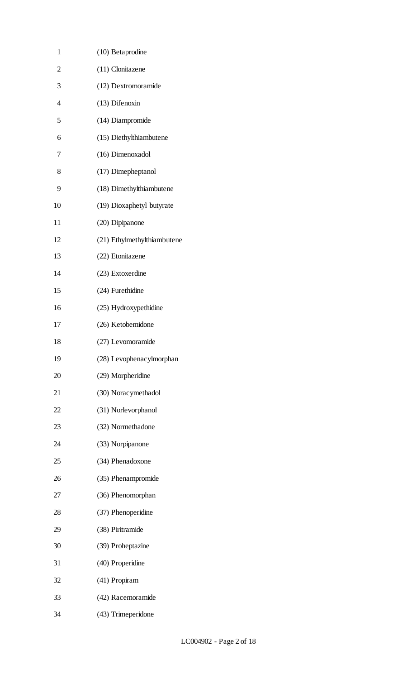| $\mathbf{1}$   | (10) Betaprodine            |
|----------------|-----------------------------|
| $\overline{c}$ | (11) Clonitazene            |
| 3              | (12) Dextromoramide         |
| $\overline{4}$ | (13) Difenoxin              |
| 5              | (14) Diampromide            |
| 6              | (15) Diethylthiambutene     |
| 7              | (16) Dimenoxadol            |
| 8              | (17) Dimepheptanol          |
| 9              | (18) Dimethylthiambutene    |
| 10             | (19) Dioxaphetyl butyrate   |
| 11             | (20) Dipipanone             |
| 12             | (21) Ethylmethylthiambutene |
| 13             | (22) Etonitazene            |
| 14             | (23) Extoxerdine            |
| 15             | (24) Furethidine            |
| 16             | (25) Hydroxypethidine       |
| 17             | (26) Ketobemidone           |
| 18             | (27) Levomoramide           |
| 19             | (28) Levophenacylmorphan    |
| 20             | (29) Morpheridine           |
| 21             | (30) Noracymethadol         |
| 22             | (31) Norlevorphanol         |
| 23             | (32) Normethadone           |
| 24             | (33) Norpipanone            |
| 25             | (34) Phenadoxone            |
| 26             | (35) Phenampromide          |
| 27             | (36) Phenomorphan           |
| 28             | (37) Phenoperidine          |
| 29             | (38) Piritramide            |
| 30             | (39) Proheptazine           |
| 31             | (40) Properidine            |
| 32             | (41) Propiram               |
| 33             | (42) Racemoramide           |
| 34             | (43) Trimeperidone          |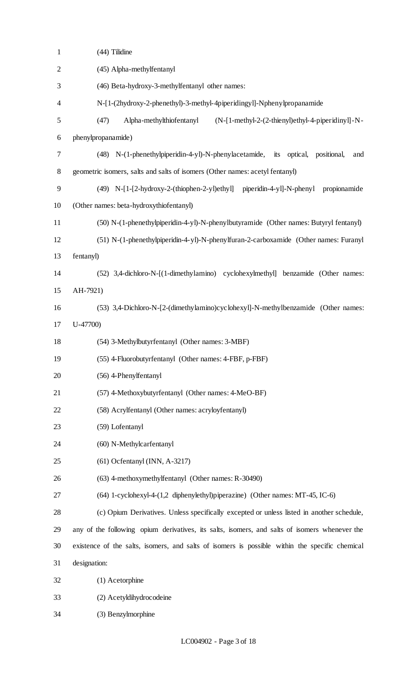| $\mathbf{1}$     | (44) Tilidine                                                                                  |
|------------------|------------------------------------------------------------------------------------------------|
| $\overline{2}$   | (45) Alpha-methylfentanyl                                                                      |
| 3                | (46) Beta-hydroxy-3-methylfentanyl other names:                                                |
| 4                | N-[1-(2hydroxy-2-phenethyl)-3-methyl-4piperidingyl]-Nphenylpropanamide                         |
| 5                | (47)<br>Alpha-methylthiofentanyl<br>$(N-[1-methyl-2-(2-thienyl)ethyl-4-piperidiny]]-N-$        |
| 6                | phenylpropanamide)                                                                             |
| $\boldsymbol{7}$ | (48) N-(1-phenethylpiperidin-4-yl)-N-phenylacetamide, its optical, positional,<br>and          |
| $8\,$            | geometric isomers, salts and salts of isomers (Other names: acetyl fentanyl)                   |
| 9                | (49) N-[1-[2-hydroxy-2-(thiophen-2-yl)ethyl] piperidin-4-yl]-N-phenyl<br>propionamide          |
| 10               | (Other names: beta-hydroxythiofentanyl)                                                        |
| 11               | (50) N-(1-phenethylpiperidin-4-yl)-N-phenylbutyramide (Other names: Butyryl fentanyl)          |
| 12               | (51) N-(1-phenethylpiperidin-4-yl)-N-phenylfuran-2-carboxamide (Other names: Furanyl           |
| 13               | fentanyl)                                                                                      |
| 14               | (52) 3,4-dichloro-N-[(1-dimethylamino) cyclohexylmethyl] benzamide (Other names:               |
| 15               | AH-7921)                                                                                       |
| 16               | (53) 3,4-Dichloro-N-[2-(dimethylamino)cyclohexyl]-N-methylbenzamide (Other names:              |
| 17               | $U-47700$                                                                                      |
| 18               | (54) 3-Methylbutyrfentanyl (Other names: 3-MBF)                                                |
| 19               | (55) 4-Fluorobutyrfentanyl (Other names: 4-FBF, p-FBF)                                         |
| 20               | (56) 4-Phenylfentanyl                                                                          |
| 21               | (57) 4-Methoxybutyrfentanyl (Other names: 4-MeO-BF)                                            |
| 22               | (58) Acrylfentanyl (Other names: acryloyfentanyl)                                              |
| 23               | (59) Lofentanyl                                                                                |
| 24               | (60) N-Methylcarfentanyl                                                                       |
| 25               | $(61)$ Ocfentanyl (INN, A-3217)                                                                |
| 26               | (63) 4-methoxymethylfentanyl (Other names: R-30490)                                            |
| 27               | (64) 1-cyclohexyl-4-(1,2 diphenylethyl)piperazine) (Other names: MT-45, IC-6)                  |
| 28               | (c) Opium Derivatives. Unless specifically excepted or unless listed in another schedule,      |
| 29               | any of the following opium derivatives, its salts, isomers, and salts of isomers whenever the  |
| 30               | existence of the salts, isomers, and salts of isomers is possible within the specific chemical |
| 31               | designation:                                                                                   |
| 32               | (1) Acetorphine                                                                                |
| 33               | (2) Acetyldihydrocodeine                                                                       |
| 34               | (3) Benzylmorphine                                                                             |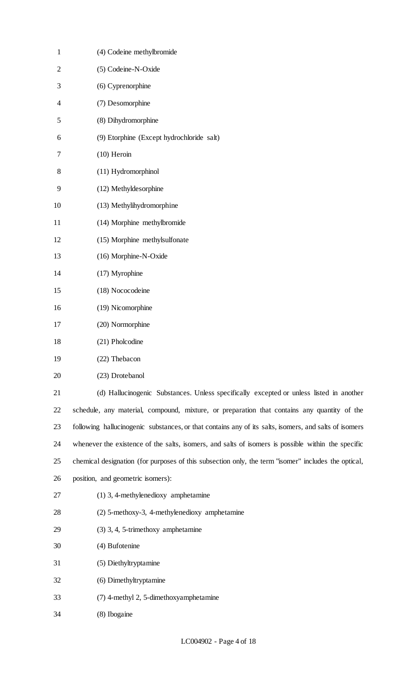| $\mathbf{1}$   | (4) Codeine methylbromide                                                                             |
|----------------|-------------------------------------------------------------------------------------------------------|
| $\overline{2}$ | (5) Codeine-N-Oxide                                                                                   |
| 3              | (6) Cyprenorphine                                                                                     |
| $\overline{4}$ | (7) Desomorphine                                                                                      |
| 5              | (8) Dihydromorphine                                                                                   |
| 6              | (9) Etorphine (Except hydrochloride salt)                                                             |
| 7              | $(10)$ Heroin                                                                                         |
| 8              | (11) Hydromorphinol                                                                                   |
| 9              | (12) Methyldesorphine                                                                                 |
| 10             | (13) Methylihydromorphine                                                                             |
| 11             | (14) Morphine methylbromide                                                                           |
| 12             | (15) Morphine methylsulfonate                                                                         |
| 13             | (16) Morphine-N-Oxide                                                                                 |
| 14             | (17) Myrophine                                                                                        |
| 15             | (18) Nococodeine                                                                                      |
| 16             | (19) Nicomorphine                                                                                     |
| 17             | (20) Normorphine                                                                                      |
| 18             | (21) Pholcodine                                                                                       |
| 19             | (22) Thebacon                                                                                         |
| 20             | (23) Drotebanol                                                                                       |
| 21             | (d) Hallucinogenic Substances. Unless specifically excepted or unless listed in another               |
| 22             | schedule, any material, compound, mixture, or preparation that contains any quantity of the           |
| 23             | following hallucinogenic substances, or that contains any of its salts, isomers, and salts of isomers |
| 24             | whenever the existence of the salts, isomers, and salts of isomers is possible within the specific    |
| 25             | chemical designation (for purposes of this subsection only, the term "isomer" includes the optical,   |
| 26             | position, and geometric isomers):                                                                     |
| 27             | $(1)$ 3, 4-methylenedioxy amphetamine                                                                 |
| 28             | (2) 5-methoxy-3, 4-methylenedioxy amphetamine                                                         |
| 29             | (3) 3, 4, 5-trimethoxy amphetamine                                                                    |
| 30             | (4) Bufotenine                                                                                        |
| 31             | (5) Diethyltryptamine                                                                                 |
| 32             | (6) Dimethyltryptamine                                                                                |
| 33             | (7) 4-methyl 2, 5-dimethoxyamphetamine                                                                |
| 34             | (8) Ibogaine                                                                                          |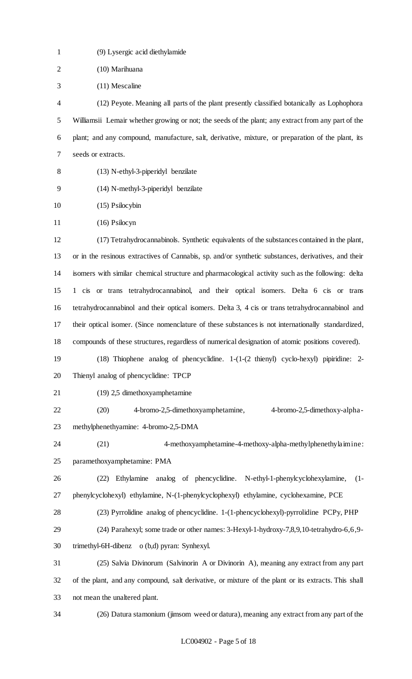| $\mathbf{1}$   | (9) Lysergic acid diethylamide                                                                          |
|----------------|---------------------------------------------------------------------------------------------------------|
| $\overline{2}$ | (10) Marihuana                                                                                          |
| 3              | (11) Mescaline                                                                                          |
| 4              | (12) Peyote. Meaning all parts of the plant presently classified botanically as Lophophora              |
| 5              | Williamsii Lemair whether growing or not; the seeds of the plant; any extract from any part of the      |
| 6              | plant; and any compound, manufacture, salt, derivative, mixture, or preparation of the plant, its       |
| 7              | seeds or extracts.                                                                                      |
| 8              | (13) N-ethyl-3-piperidyl benzilate                                                                      |
| 9              | (14) N-methyl-3-piperidyl benzilate                                                                     |
| 10             | (15) Psilocybin                                                                                         |
| 11             | $(16)$ Psilocyn                                                                                         |
| 12             | (17) Tetrahydrocannabinols. Synthetic equivalents of the substances contained in the plant,             |
| 13             | or in the resinous extractives of Cannabis, sp. and/or synthetic substances, derivatives, and their     |
| 14             | isomers with similar chemical structure and pharmacological activity such as the following: delta       |
| 15             | 1 cis or trans tetrahydrocannabinol, and their optical isomers. Delta 6 cis or trans                    |
| 16             | tetrahydrocannabinol and their optical isomers. Delta 3, 4 cis or trans tetrahydrocannabinol and        |
| 17             | their optical isomer. (Since nomenclature of these substances is not internationally standardized,      |
| 18             | compounds of these structures, regardless of numerical designation of atomic positions covered).        |
| 19             | $(18)$ Thiophene analog of phencyclidine. $1-(1-(2 \text{thienyl}) \text{ cyclo-hexyl})$ pipiridine: 2- |
| 20             | Thienyl analog of phencyclidine: TPCP                                                                   |
| 21             | (19) 2,5 dimethoxyamphetamine                                                                           |
| 22             | 4-bromo-2,5-dimethoxyamphetamine,<br>(20)<br>4-bromo-2,5-dimethoxy-alpha-                               |
| 23             | methylphenethyamine: 4-bromo-2,5-DMA                                                                    |
| 24             | 4-methoxyamphetamine-4-methoxy-alpha-methylphenethylaimine:<br>(21)                                     |
| 25             | paramethoxyamphetamine: PMA                                                                             |
| 26             | Ethylamine<br>analog of phencyclidine. N-ethyl-1-phenylcyclohexylamine,<br>(22)<br>$(1 -$               |
| 27             | phenylcyclohexyl) ethylamine, N-(1-phenylcyclophexyl) ethylamine, cyclohexamine, PCE                    |
| 28             | (23) Pyrrolidine analog of phencyclidine. 1-(1-phencyclohexyl)-pyrrolidine PCPy, PHP                    |
| 29             | (24) Parahexyl; some trade or other names: 3-Hexyl-1-hydroxy-7,8,9,10-tetrahydro-6,6,9-                 |
| 30             | trimethyl-6H-dibenz o (b,d) pyran: Synhexyl.                                                            |
| 31             | (25) Salvia Divinorum (Salvinorin A or Divinorin A), meaning any extract from any part                  |
| 32             | of the plant, and any compound, salt derivative, or mixture of the plant or its extracts. This shall    |
| 33             | not mean the unaltered plant.                                                                           |
| 34             | (26) Datura stamonium (jimsom weed or datura), meaning any extract from any part of the                 |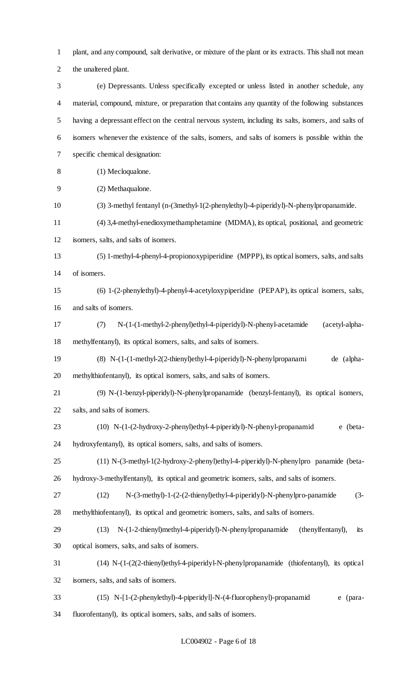plant, and any compound, salt derivative, or mixture of the plant or its extracts. This shall not mean the unaltered plant.

 (e) Depressants. Unless specifically excepted or unless listed in another schedule, any material, compound, mixture, or preparation that contains any quantity of the following substances having a depressant effect on the central nervous system, including its salts, isomers, and salts of isomers whenever the existence of the salts, isomers, and salts of isomers is possible within the specific chemical designation:

- (1) Mecloqualone.
- (2) Methaqualone.
- (3) 3-methyl fentanyl (n-(3methyl-1(2-phenylethyl)-4-piperidyl)-N-phenylpropanamide.
- (4) 3,4-methyl-enedioxymethamphetamine (MDMA), its optical, positional, and geometric
- isomers, salts, and salts of isomers.

 (5) 1-methyl-4-phenyl-4-propionoxypiperidine (MPPP), its optical isomers, salts, and salts of isomers.

- (6) 1-(2-phenylethyl)-4-phenyl-4-acetyloxypiperidine (PEPAP), its optical isomers, salts, and salts of isomers.
- (7) N-(1-(1-methyl-2-phenyl)ethyl-4-piperidyl)-N-phenyl-acetamide (acetyl-alpha-methylfentanyl), its optical isomers, salts, and salts of isomers.
- (8) N-(1-(1-methyl-2(2-thienyl)ethyl-4-piperidyl)-N-phenylpropanami de (alpha-methylthiofentanyl), its optical isomers, salts, and salts of isomers.
- (9) N-(1-benzyl-piperidyl)-N-phenylpropanamide (benzyl-fentanyl), its optical isomers, salts, and salts of isomers.
- (10) N-(1-(2-hydroxy-2-phenyl)ethyl-4-piperidyl)-N-phenyl-propanamid e (beta-hydroxyfentanyl), its optical isomers, salts, and salts of isomers.
- (11) N-(3-methyl-1(2-hydroxy-2-phenyl)ethyl-4-piperidyl)-N-phenylpro panamide (beta-hydroxy-3-methylfentanyl), its optical and geometric isomers, salts, and salts of isomers.
- (12) N-(3-methyl)-1-(2-(2-thienyl)ethyl-4-piperidyl)-N-phenylpro-panamide (3- methylthiofentanyl), its optical and geometric isomers, salts, and salts of isomers.
- (13) N-(1-2-thienyl)methyl-4-piperidyl)-N-phenylpropanamide (thenylfentanyl), its optical isomers, salts, and salts of isomers.
- (14) N-(1-(2(2-thienyl)ethyl-4-piperidyl-N-phenylpropanamide (thiofentanyl), its optical isomers, salts, and salts of isomers.
- (15) N-[1-(2-phenylethyl)-4-piperidyl]-N-(4-fluorophenyl)-propanamid e (para-fluorofentanyl), its optical isomers, salts, and salts of isomers.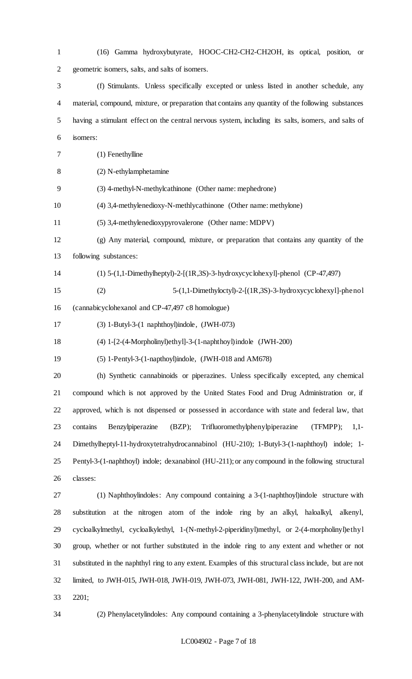(16) Gamma hydroxybutyrate, HOOC-CH2-CH2-CH2OH, its optical, position, or geometric isomers, salts, and salts of isomers. (f) Stimulants. Unless specifically excepted or unless listed in another schedule, any material, compound, mixture, or preparation that contains any quantity of the following substances having a stimulant effect on the central nervous system, including its salts, isomers, and salts of isomers: (1) Fenethylline (2) N-ethylamphetamine (3) 4-methyl-N-methylcathinone (Other name: mephedrone) (4) 3,4-methylenedioxy-N-methlycathinone (Other name: methylone) (5) 3,4-methylenedioxypyrovalerone (Other name: MDPV) (g) Any material, compound, mixture, or preparation that contains any quantity of the following substances: (1) 5-(1,1-Dimethylheptyl)-2-[(1R,3S)-3-hydroxycyclohexyl]-phenol (CP-47,497) (2) 5-(1,1-Dimethyloctyl)-2-[(1R,3S)-3-hydroxycyclohexyl]-phenol (cannabicyclohexanol and CP-47,497 c8 homologue) (3) 1-Butyl-3-(1 naphthoyl)indole, (JWH-073) (4) 1-[2-(4-Morpholinyl)ethyl]-3-(1-naphthoyl)indole (JWH-200) (5) 1-Pentyl-3-(1-napthoyl)indole, (JWH-018 and AM678) (h) Synthetic cannabinoids or piperazines. Unless specifically excepted, any chemical compound which is not approved by the United States Food and Drug Administration or, if approved, which is not dispensed or possessed in accordance with state and federal law, that contains Benzylpiperazine (BZP); Trifluoromethylphenylpiperazine (TFMPP); 1,1- Dimethylheptyl-11-hydroxytetrahydrocannabinol (HU-210); 1-Butyl-3-(1-naphthoyl) indole; 1- Pentyl-3-(1-naphthoyl) indole; dexanabinol (HU-211); or any compound in the following structural classes: (1) Naphthoylindoles: Any compound containing a 3-(1-naphthoyl)indole structure with substitution at the nitrogen atom of the indole ring by an alkyl, haloalkyl, alkenyl, cycloalkylmethyl, cycloalkylethyl, 1-(N-methyl-2-piperidinyl)methyl, or 2-(4-morpholinyl)ethyl group, whether or not further substituted in the indole ring to any extent and whether or not substituted in the naphthyl ring to any extent. Examples of this structural class include, but are not limited, to JWH-015, JWH-018, JWH-019, JWH-073, JWH-081, JWH-122, JWH-200, and AM-

- 2201;
- 

(2) Phenylacetylindoles: Any compound containing a 3-phenylacetylindole structure with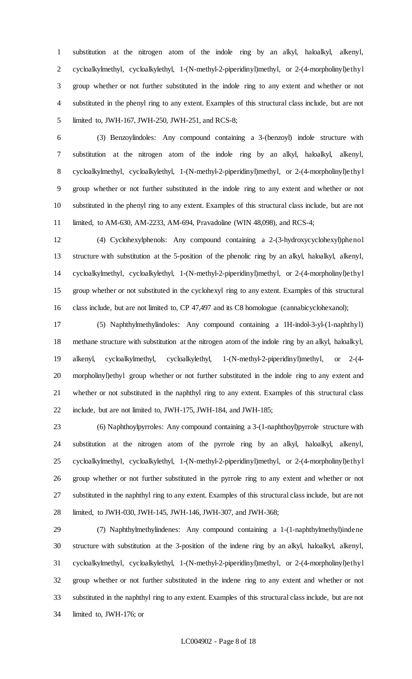substitution at the nitrogen atom of the indole ring by an alkyl, haloalkyl, alkenyl, cycloalkylmethyl, cycloalkylethyl, 1-(N-methyl-2-piperidinyl)methyl, or 2-(4-morpholinyl)ethyl group whether or not further substituted in the indole ring to any extent and whether or not substituted in the phenyl ring to any extent. Examples of this structural class include, but are not limited to, JWH-167, JWH-250, JWH-251, and RCS-8;

 (3) Benzoylindoles: Any compound containing a 3-(benzoyl) indole structure with substitution at the nitrogen atom of the indole ring by an alkyl, haloalkyl, alkenyl, cycloalkylmethyl, cycloalkylethyl, 1-(N-methyl-2-piperidinyl)methyl, or 2-(4-morpholinyl)ethyl group whether or not further substituted in the indole ring to any extent and whether or not substituted in the phenyl ring to any extent. Examples of this structural class include, but are not limited, to AM-630, AM-2233, AM-694, Pravadoline (WIN 48,098), and RCS-4;

 (4) Cyclohexylphenols: Any compound containing a 2-(3-hydroxycyclohexyl)phenol structure with substitution at the 5-position of the phenolic ring by an alkyl, haloalkyl, alkenyl, cycloalkylmethyl, cycloalkylethyl, 1-(N-methyl-2-piperidinyl)methyl, or 2-(4-morpholinyl)ethyl group whether or not substituted in the cyclohexyl ring to any extent. Examples of this structural class include, but are not limited to, CP 47,497 and its C8 homologue (cannabicyclohexanol);

 (5) Naphthylmethylindoles: Any compound containing a 1H-indol-3-yl-(1-naphthyl) methane structure with substitution at the nitrogen atom of the indole ring by an alkyl, haloalkyl, alkenyl, cycloalkylmethyl, cycloalkylethyl, 1-(N-methyl-2-piperidinyl)methyl, or 2-(4- morpholinyl)ethyl group whether or not further substituted in the indole ring to any extent and whether or not substituted in the naphthyl ring to any extent. Examples of this structural class include, but are not limited to, JWH-175, JWH-184, and JWH-185;

 (6) Naphthoylpyrroles: Any compound containing a 3-(1-naphthoyl)pyrrole structure with substitution at the nitrogen atom of the pyrrole ring by an alkyl, haloalkyl, alkenyl, cycloalkylmethyl, cycloalkylethyl, 1-(N-methyl-2-piperidinyl)methyl, or 2-(4-morpholinyl)ethyl group whether or not further substituted in the pyrrole ring to any extent and whether or not substituted in the naphthyl ring to any extent. Examples of this structural class include, but are not limited, to JWH-030, JWH-145, JWH-146, JWH-307, and JWH-368;

 (7) Naphthylmethylindenes: Any compound containing a 1-(1-naphthylmethyl)indene structure with substitution at the 3-position of the indene ring by an alkyl, haloalkyl, alkenyl, cycloalkylmethyl, cycloalkylethyl, 1-(N-methyl-2-piperidinyl)methyl, or 2-(4-morpholinyl)ethyl group whether or not further substituted in the indene ring to any extent and whether or not substituted in the naphthyl ring to any extent. Examples of this structural class include, but are not limited to, JWH-176; or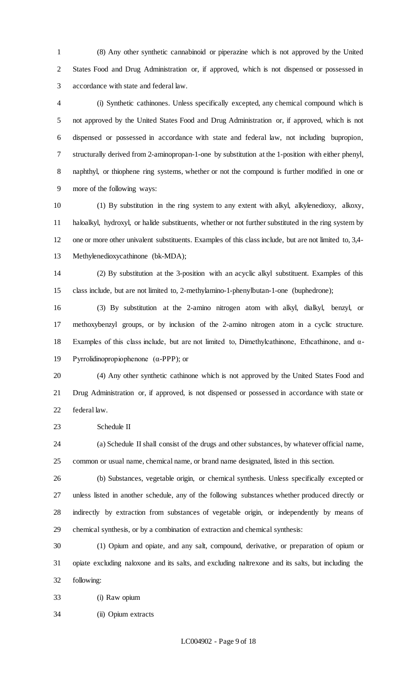(8) Any other synthetic cannabinoid or piperazine which is not approved by the United States Food and Drug Administration or, if approved, which is not dispensed or possessed in accordance with state and federal law.

 (i) Synthetic cathinones. Unless specifically excepted, any chemical compound which is not approved by the United States Food and Drug Administration or, if approved, which is not dispensed or possessed in accordance with state and federal law, not including bupropion, structurally derived from 2-aminopropan-1-one by substitution at the 1-position with either phenyl, naphthyl, or thiophene ring systems, whether or not the compound is further modified in one or more of the following ways:

 (1) By substitution in the ring system to any extent with alkyl, alkylenedioxy, alkoxy, haloalkyl, hydroxyl, or halide substituents, whether or not further substituted in the ring system by one or more other univalent substituents. Examples of this class include, but are not limited to, 3,4- Methylenedioxycathinone (bk-MDA);

 (2) By substitution at the 3-position with an acyclic alkyl substituent. Examples of this class include, but are not limited to, 2-methylamino-1-phenylbutan-1-one (buphedrone);

 (3) By substitution at the 2-amino nitrogen atom with alkyl, dialkyl, benzyl, or methoxybenzyl groups, or by inclusion of the 2-amino nitrogen atom in a cyclic structure. Examples of this class include, but are not limited to, Dimethylcathinone, Ethcathinone, and α-Pyrrolidinopropiophenone (α-PPP); or

 (4) Any other synthetic cathinone which is not approved by the United States Food and Drug Administration or, if approved, is not dispensed or possessed in accordance with state or federal law.

Schedule II

 (a) Schedule II shall consist of the drugs and other substances, by whatever official name, common or usual name, chemical name, or brand name designated, listed in this section.

 (b) Substances, vegetable origin, or chemical synthesis. Unless specifically excepted or unless listed in another schedule, any of the following substances whether produced directly or indirectly by extraction from substances of vegetable origin, or independently by means of chemical synthesis, or by a combination of extraction and chemical synthesis:

 (1) Opium and opiate, and any salt, compound, derivative, or preparation of opium or opiate excluding naloxone and its salts, and excluding naltrexone and its salts, but including the following:

(i) Raw opium

(ii) Opium extracts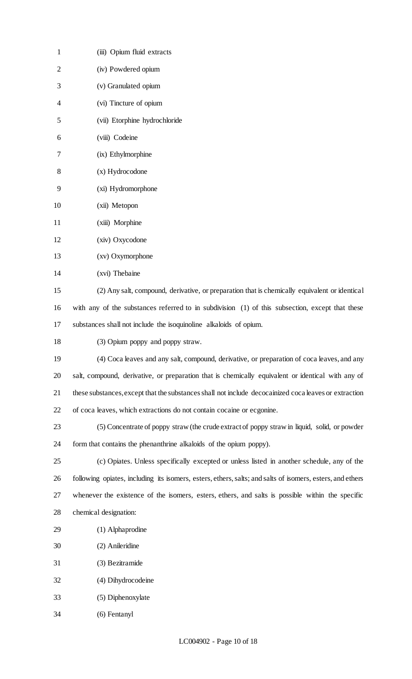| $\mathbf{1}$ | (iii) Opium fluid extracts                                                                                |
|--------------|-----------------------------------------------------------------------------------------------------------|
| 2            | (iv) Powdered opium                                                                                       |
| 3            | (v) Granulated opium                                                                                      |
| 4            | (vi) Tincture of opium                                                                                    |
| 5            | (vii) Etorphine hydrochloride                                                                             |
| 6            | (viii) Codeine                                                                                            |
| 7            | (ix) Ethylmorphine                                                                                        |
| 8            | (x) Hydrocodone                                                                                           |
| 9            | (xi) Hydromorphone                                                                                        |
| 10           | (xii) Metopon                                                                                             |
| 11           | (xiii) Morphine                                                                                           |
| 12           | (xiv) Oxycodone                                                                                           |
| 13           | (xv) Oxymorphone                                                                                          |
| 14           | (xvi) Thebaine                                                                                            |
| 15           | (2) Any salt, compound, derivative, or preparation that is chemically equivalent or identical             |
| 16           | with any of the substances referred to in subdivision (1) of this subsection, except that these           |
| 17           | substances shall not include the isoquinoline alkaloids of opium.                                         |
| 18           | (3) Opium poppy and poppy straw.                                                                          |
| 19           | (4) Coca leaves and any salt, compound, derivative, or preparation of coca leaves, and any                |
| 20           | salt, compound, derivative, or preparation that is chemically equivalent or identical with any of         |
| 21           | these substances, except that the substances shall not include decocainized coca leaves or extraction     |
| 22           | of coca leaves, which extractions do not contain cocaine or ecgonine.                                     |
| 23           | (5) Concentrate of poppy straw (the crude extract of poppy straw in liquid, solid, or powder              |
| 24           | form that contains the phenanthrine alkaloids of the opium poppy).                                        |
| 25           | (c) Opiates. Unless specifically excepted or unless listed in another schedule, any of the                |
| 26           | following opiates, including its isomers, esters, ethers, salts; and salts of isomers, esters, and ethers |
| 27           | whenever the existence of the isomers, esters, ethers, and salts is possible within the specific          |
| 28           | chemical designation:                                                                                     |
| 29           | (1) Alphaprodine                                                                                          |
| 30           | (2) Anileridine                                                                                           |
| 31           | (3) Bezitramide                                                                                           |
| 32           | (4) Dihydrocodeine                                                                                        |
| 33           | (5) Diphenoxylate                                                                                         |
| 34           | (6) Fentanyl                                                                                              |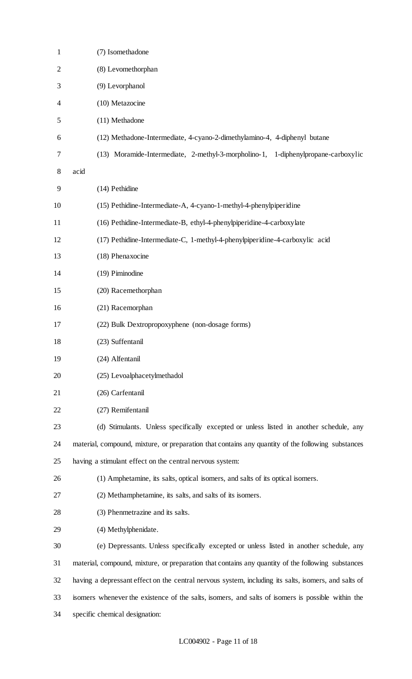| $\mathbf{1}$   | (7) Isomethadone                                                                                     |
|----------------|------------------------------------------------------------------------------------------------------|
| $\overline{2}$ | (8) Levomethorphan                                                                                   |
| 3              | (9) Levorphanol                                                                                      |
| 4              | (10) Metazocine                                                                                      |
| 5              | (11) Methadone                                                                                       |
| 6              | (12) Methadone-Intermediate, 4-cyano-2-dimethylamino-4, 4-diphenyl butane                            |
| 7              | (13) Moramide-Intermediate, 2-methyl-3-morpholino-1, 1-diphenylpropane-carboxylic                    |
| 8              | acid                                                                                                 |
| 9              | (14) Pethidine                                                                                       |
| 10             | (15) Pethidine-Intermediate-A, 4-cyano-1-methyl-4-phenylpiperidine                                   |
| 11             | (16) Pethidine-Intermediate-B, ethyl-4-phenylpiperidine-4-carboxylate                                |
| 12             | (17) Pethidine-Intermediate-C, 1-methyl-4-phenylpiperidine-4-carboxylic acid                         |
| 13             | (18) Phenaxocine                                                                                     |
| 14             | (19) Piminodine                                                                                      |
| 15             | (20) Racemethorphan                                                                                  |
| 16             | (21) Racemorphan                                                                                     |
| 17             | (22) Bulk Dextropropoxyphene (non-dosage forms)                                                      |
| 18             | (23) Suffentanil                                                                                     |
| 19             | (24) Alfentanil                                                                                      |
| 20             | (25) Levoalphacetylmethadol                                                                          |
| 21             | (26) Carfentanil                                                                                     |
| 22             | (27) Remifentanil                                                                                    |
| 23             | (d) Stimulants. Unless specifically excepted or unless listed in another schedule, any               |
| 24             | material, compound, mixture, or preparation that contains any quantity of the following substances   |
| 25             | having a stimulant effect on the central nervous system:                                             |
| 26             | (1) Amphetamine, its salts, optical isomers, and salts of its optical isomers.                       |
| 27             | (2) Methamphetamine, its salts, and salts of its isomers.                                            |
| 28             | (3) Phenmetrazine and its salts.                                                                     |
| 29             | (4) Methylphenidate.                                                                                 |
| 30             | (e) Depressants. Unless specifically excepted or unless listed in another schedule, any              |
| 31             | material, compound, mixture, or preparation that contains any quantity of the following substances   |
| 32             | having a depressant effect on the central nervous system, including its salts, isomers, and salts of |
| 33             | isomers whenever the existence of the salts, isomers, and salts of isomers is possible within the    |
| 34             | specific chemical designation:                                                                       |
|                |                                                                                                      |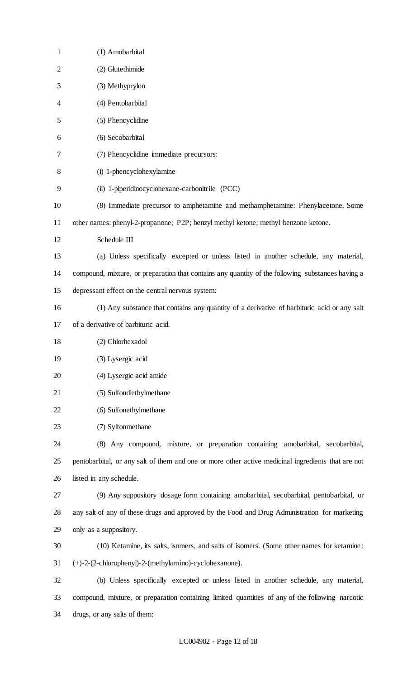| $\mathbf{1}$   | (1) Amobarbital                                                                                    |
|----------------|----------------------------------------------------------------------------------------------------|
| $\overline{2}$ | (2) Glutethimide                                                                                   |
| 3              | (3) Methyprylon                                                                                    |
| 4              | (4) Pentobarbital                                                                                  |
| 5              | (5) Phencyclidine                                                                                  |
| 6              | (6) Secobarbital                                                                                   |
| 7              | (7) Phencyclidine immediate precursors:                                                            |
| 8              | (i) 1-phencyclohexylamine                                                                          |
| 9              | (ii) 1-piperidinocyclohexane-carbonitrile (PCC)                                                    |
| 10             | (8) Immediate precursor to amphetamine and methamphetamine: Phenylacetone. Some                    |
| 11             | other names: phenyl-2-propanone; P2P; benzyl methyl ketone; methyl benzone ketone.                 |
| 12             | Schedule III                                                                                       |
| 13             | (a) Unless specifically excepted or unless listed in another schedule, any material,               |
| 14             | compound, mixture, or preparation that contains any quantity of the following substances having a  |
| 15             | depressant effect on the central nervous system:                                                   |
| 16             | (1) Any substance that contains any quantity of a derivative of barbituric acid or any salt        |
| 17             | of a derivative of barbituric acid.                                                                |
| 18             | (2) Chlorhexadol                                                                                   |
| 19             | (3) Lysergic acid                                                                                  |
| 20             | (4) Lysergic acid amide                                                                            |
| 21             | (5) Sulfondiethylmethane                                                                           |
| 22             | (6) Sulfonethylmethane                                                                             |
| 23             | (7) Sylfonmethane                                                                                  |
| 24             | (8) Any compound, mixture, or preparation containing amobarbital, secobarbital,                    |
| 25             | pentobarbital, or any salt of them and one or more other active medicinal ingredients that are not |
| 26             | listed in any schedule.                                                                            |
| 27             | (9) Any suppository dosage form containing amobarbital, secobarbital, pentobarbital, or            |
| 28             | any salt of any of these drugs and approved by the Food and Drug Administration for marketing      |
| 29             | only as a suppository.                                                                             |
| 30             | (10) Ketamine, its salts, isomers, and salts of isomers. (Some other names for ketamine:           |
| 31             | (+)-2-(2-chlorophenyl)-2-(methylamino)-cyclohexanone).                                             |
| 32             | (b) Unless specifically excepted or unless listed in another schedule, any material,               |
| 33             | compound, mixture, or preparation containing limited quantities of any of the following narcotic   |
| 34             | drugs, or any salts of them:                                                                       |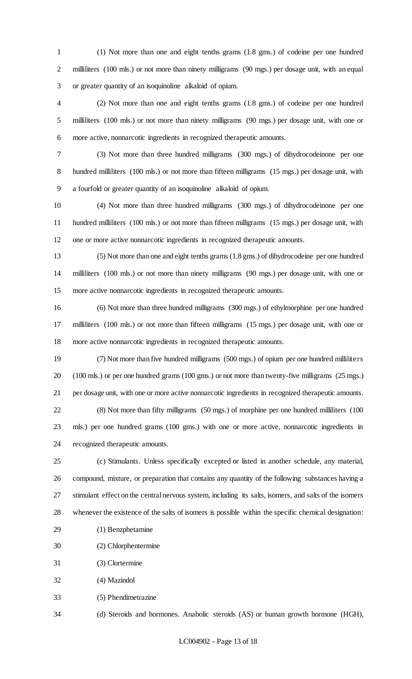(1) Not more than one and eight tenths grams (1.8 gms.) of codeine per one hundred 2 milliliters (100 mls.) or not more than ninety milligrams (90 mgs.) per dosage unit, with an equal or greater quantity of an isoquinoline alkaloid of opium.

 (2) Not more than one and eight tenths grams (1.8 gms.) of codeine per one hundred milliliters (100 mls.) or not more than ninety milligrams (90 mgs.) per dosage unit, with one or more active, nonnarcotic ingredients in recognized therapeutic amounts.

 (3) Not more than three hundred milligrams (300 mgs.) of dihydrocodeinone per one 8 hundred milliliters (100 mls.) or not more than fifteen milligrams (15 mgs.) per dosage unit, with a fourfold or greater quantity of an isoquinoline alkaloid of opium.

 (4) Not more than three hundred milligrams (300 mgs.) of dihydrocodeinone per one hundred milliliters (100 mls.) or not more than fifteen milligrams (15 mgs.) per dosage unit, with one or more active nonnarcotic ingredients in recognized therapeutic amounts.

 (5) Not more than one and eight tenths grams (1.8 gms.) of dihydrocodeine per one hundred milliliters (100 mls.) or not more than ninety milligrams (90 mgs.) per dosage unit, with one or more active nonnarcotic ingredients in recognized therapeutic amounts.

 (6) Not more than three hundred milligrams (300 mgs.) of ethylmorphine per one hundred milliliters (100 mls.) or not more than fifteen milligrams (15 mgs.) per dosage unit, with one or more active nonnarcotic ingredients in recognized therapeutic amounts.

 (7) Not more than five hundred milligrams (500 mgs.) of opium per one hundred milliliters (100 mls.) or per one hundred grams (100 gms.) or not more than twenty-five milligrams (25 mgs.) per dosage unit, with one or more active nonnarcotic ingredients in recognized therapeutic amounts. (8) Not more than fifty milligrams (50 mgs.) of morphine per one hundred milliliters (100 mls.) per one hundred grams (100 gms.) with one or more active, nonnarcotic ingredients in recognized therapeutic amounts.

 (c) Stimulants. Unless specifically excepted or listed in another schedule, any material, compound, mixture, or preparation that contains any quantity of the following substances having a stimulant effect on the central nervous system, including its salts, isomers, and salts of the isomers whenever the existence of the salts of isomers is possible within the specific chemical designation:

- (1) Benzphetamine
- (2) Chlorphentermine
- (3) Clortermine
- (4) Mazindol
- (5) Phendimetrazine

(d) Steroids and hormones. Anabolic steroids (AS) or human growth hormone (HGH),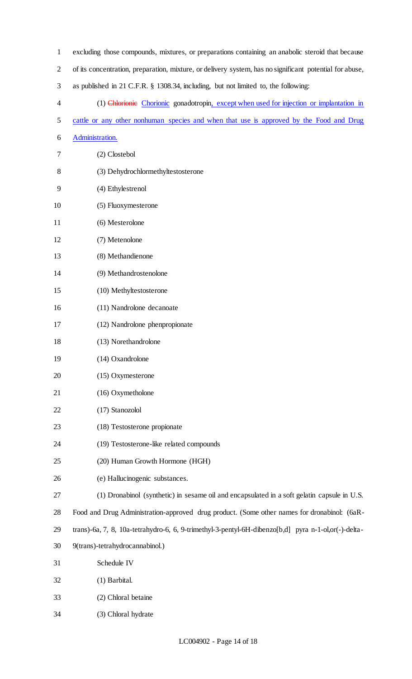| $\mathbf{1}$   | excluding those compounds, mixtures, or preparations containing an anabolic steroid that because        |
|----------------|---------------------------------------------------------------------------------------------------------|
| $\overline{2}$ | of its concentration, preparation, mixture, or delivery system, has no significant potential for abuse, |
| 3              | as published in 21 C.F.R. § 1308.34, including, but not limited to, the following:                      |
| 4              | (1) Chlorionic Chorionic gonadotropin, except when used for injection or implantation in                |
| 5              | cattle or any other nonhuman species and when that use is approved by the Food and Drug                 |
| 6              | Administration.                                                                                         |
| 7              | (2) Clostebol                                                                                           |
| 8              | (3) Dehydrochlormethyltestosterone                                                                      |
| 9              | (4) Ethylestrenol                                                                                       |
| 10             | (5) Fluoxymesterone                                                                                     |
| 11             | (6) Mesterolone                                                                                         |
| 12             | (7) Metenolone                                                                                          |
| 13             | (8) Methandienone                                                                                       |
| 14             | (9) Methandrostenolone                                                                                  |
| 15             | (10) Methyltestosterone                                                                                 |
| 16             | (11) Nandrolone decanoate                                                                               |
| 17             | (12) Nandrolone phenpropionate                                                                          |
| 18             | (13) Norethandrolone                                                                                    |
| 19             | (14) Oxandrolone                                                                                        |
| 20             | (15) Oxymesterone                                                                                       |
| 21             | (16) Oxymetholone                                                                                       |
| 22             | (17) Stanozolol                                                                                         |
| 23             | (18) Testosterone propionate                                                                            |
| 24             | (19) Testosterone-like related compounds                                                                |
| 25             | (20) Human Growth Hormone (HGH)                                                                         |
| 26             | (e) Hallucinogenic substances.                                                                          |
| 27             | (1) Dronabinol (synthetic) in sesame oil and encapsulated in a soft gelatin capsule in U.S.             |
| 28             | Food and Drug Administration-approved drug product. (Some other names for dronabinol: (6aR-             |
| 29             | trans)-6a, 7, 8, 10a-tetrahydro-6, 6, 9-trimethyl-3-pentyl-6H-dibenzo[b,d] pyra n-1-ol,or(-)-delta-     |
| 30             | 9(trans)-tetrahydrocannabinol.)                                                                         |
| 31             | Schedule IV                                                                                             |
| 32             | (1) Barbital.                                                                                           |
| 33             | (2) Chloral betaine                                                                                     |
| 34             | (3) Chloral hydrate                                                                                     |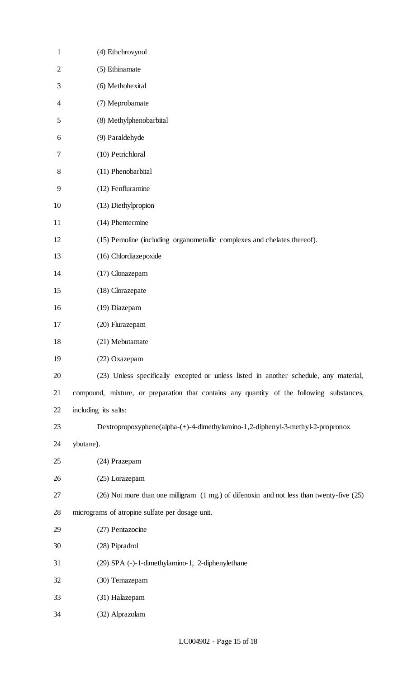| $\mathbf{1}$ | (4) Ethchrovynol                                                                          |
|--------------|-------------------------------------------------------------------------------------------|
| $\mathbf{2}$ | (5) Ethinamate                                                                            |
| 3            | (6) Methohexital                                                                          |
| 4            | (7) Meprobamate                                                                           |
| 5            | (8) Methylphenobarbital                                                                   |
| 6            | (9) Paraldehyde                                                                           |
| 7            | (10) Petrichloral                                                                         |
| $8\,$        | (11) Phenobarbital                                                                        |
| 9            | (12) Fenfluramine                                                                         |
| 10           | (13) Diethylpropion                                                                       |
| 11           | (14) Phentermine                                                                          |
| 12           | (15) Pemoline (including organometallic complexes and chelates thereof).                  |
| 13           | (16) Chlordiazepoxide                                                                     |
| 14           | (17) Clonazepam                                                                           |
| 15           | (18) Clorazepate                                                                          |
| 16           | (19) Diazepam                                                                             |
| 17           | (20) Flurazepam                                                                           |
| 18           | (21) Mebutamate                                                                           |
| 19           | (22) Oxazepam                                                                             |
| 20           | (23) Unless specifically excepted or unless listed in another schedule, any material,     |
| 21           | compound, mixture, or preparation that contains any quantity of the following substances, |
| 22           | including its salts:                                                                      |
| 23           | Dextropropoxyphene(alpha-(+)-4-dimethylamino-1,2-diphenyl-3-methyl-2-propronox            |
| 24           | ybutane).                                                                                 |
| 25           | (24) Prazepam                                                                             |
| 26           | (25) Lorazepam                                                                            |
| 27           | (26) Not more than one milligram (1 mg.) of difenoxin and not less than twenty-five (25)  |
| 28           | micrograms of atropine sulfate per dosage unit.                                           |
| 29           | (27) Pentazocine                                                                          |
| 30           | (28) Pipradrol                                                                            |
| 31           | (29) SPA (-)-1-dimethylamino-1, 2-diphenylethane                                          |
| 32           | (30) Temazepam                                                                            |
| 33           | (31) Halazepam                                                                            |
| 34           | (32) Alprazolam                                                                           |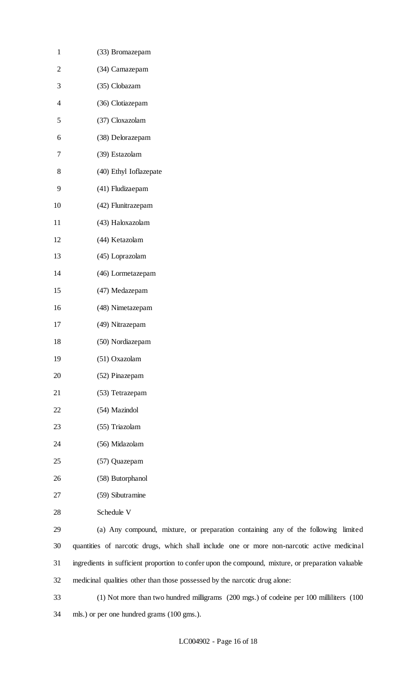| $\mathbf{1}$             | (33) Bromazepam                                                                                    |
|--------------------------|----------------------------------------------------------------------------------------------------|
| $\overline{2}$           | (34) Camazepam                                                                                     |
| 3                        | (35) Clobazam                                                                                      |
| $\overline{\mathcal{A}}$ | (36) Clotiazepam                                                                                   |
| 5                        | (37) Cloxazolam                                                                                    |
| 6                        | (38) Delorazepam                                                                                   |
| 7                        | (39) Estazolam                                                                                     |
| 8                        | (40) Ethyl Ioflazepate                                                                             |
| 9                        | (41) Fludizaepam                                                                                   |
| 10                       | (42) Flunitrazepam                                                                                 |
| 11                       | (43) Haloxazolam                                                                                   |
| 12                       | (44) Ketazolam                                                                                     |
| 13                       | (45) Loprazolam                                                                                    |
| 14                       | (46) Lormetazepam                                                                                  |
| 15                       | (47) Medazepam                                                                                     |
| 16                       | (48) Nimetazepam                                                                                   |
| 17                       | (49) Nitrazepam                                                                                    |
| 18                       | (50) Nordiazepam                                                                                   |
| 19                       | (51) Oxazolam                                                                                      |
| 20                       | (52) Pinazepam                                                                                     |
| 21                       | (53) Tetrazepam                                                                                    |
| 22                       | (54) Mazindol                                                                                      |
| 23                       | (55) Triazolam                                                                                     |
| 24                       | (56) Midazolam                                                                                     |
| 25                       | (57) Quazepam                                                                                      |
| 26                       | (58) Butorphanol                                                                                   |
| 27                       | (59) Sibutramine                                                                                   |
| 28                       | Schedule V                                                                                         |
| 29                       | (a) Any compound, mixture, or preparation containing any of the following limited                  |
| 30                       | quantities of narcotic drugs, which shall include one or more non-narcotic active medicinal        |
| 31                       | ingredients in sufficient proportion to confer upon the compound, mixture, or preparation valuable |
| 32                       | medicinal qualities other than those possessed by the narcotic drug alone:                         |

 (1) Not more than two hundred milligrams (200 mgs.) of codeine per 100 milliliters (100 mls.) or per one hundred grams (100 gms.).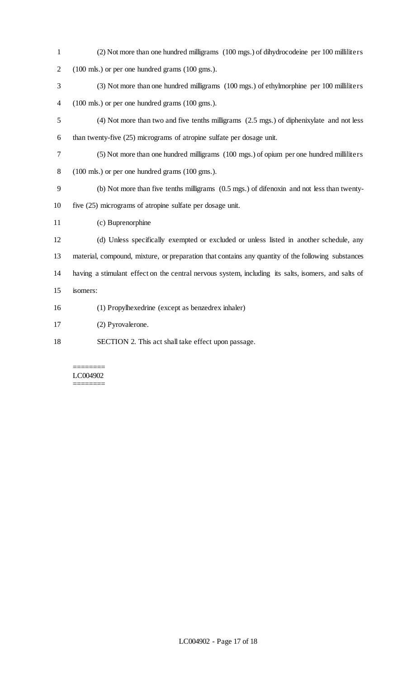| $\mathbf{1}$   | (2) Not more than one hundred milligrams (100 mgs.) of dihydrocodeine per 100 milliliters            |
|----------------|------------------------------------------------------------------------------------------------------|
| $\mathbf{2}$   | (100 mls.) or per one hundred grams (100 gms.).                                                      |
| 3              | (3) Not more than one hundred milligrams (100 mgs.) of ethylmorphine per 100 milliliters             |
| $\overline{4}$ | (100 mls.) or per one hundred grams (100 gms.).                                                      |
| 5              | (4) Not more than two and five tenths milligrams (2.5 mgs.) of diphenixylate and not less            |
| 6              | than twenty-five (25) micrograms of atropine sulfate per dosage unit.                                |
| 7              | (5) Not more than one hundred milligrams (100 mgs.) of opium per one hundred milliliters             |
| 8              | (100 mls.) or per one hundred grams (100 gms.).                                                      |
| 9              | (b) Not more than five tenths milligrams $(0.5 \text{ mgs.})$ of difenoxin and not less than twenty- |
| 10             | five (25) micrograms of atropine sulfate per dosage unit.                                            |
| 11             | (c) Buprenorphine                                                                                    |
| 12             | (d) Unless specifically exempted or excluded or unless listed in another schedule, any               |
| 13             | material, compound, mixture, or preparation that contains any quantity of the following substances   |
| 14             | having a stimulant effect on the central nervous system, including its salts, isomers, and salts of  |
| 15             | isomers:                                                                                             |
| 16             | (1) Propylhexedrine (except as benzedrex inhaler)                                                    |
| 17             | (2) Pyrovalerone.                                                                                    |
| 18             | SECTION 2. This act shall take effect upon passage.                                                  |

#### ======== LC004902 ========